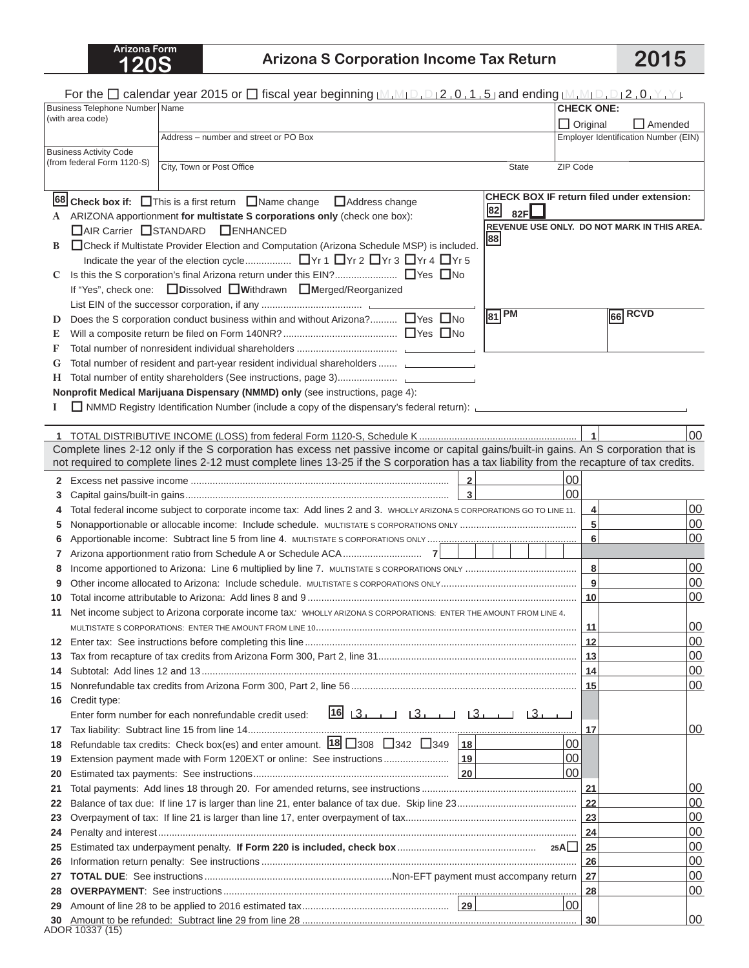## **120S Arizona S Corporation Income Tax Return 2015**

|          | For the $\Box$ calendar year 2015 or $\Box$ fiscal year beginning $[M,M_1D,D_12,0,1,5]$ and ending $[M,M_1D,D_12,0,Y,Y]$ .                                                        |                  |                                                   |  |
|----------|-----------------------------------------------------------------------------------------------------------------------------------------------------------------------------------|------------------|---------------------------------------------------|--|
|          | Business Telephone Number   Name                                                                                                                                                  |                  | <b>CHECK ONE:</b>                                 |  |
|          | (with area code)                                                                                                                                                                  | $\Box$ Original  | $\Box$ Amended                                    |  |
|          | Address - number and street or PO Box                                                                                                                                             |                  | Employer Identification Number (EIN)              |  |
|          | <b>Business Activity Code</b><br>(from federal Form 1120-S)                                                                                                                       |                  |                                                   |  |
|          | City, Town or Post Office<br><b>State</b>                                                                                                                                         | ZIP Code         |                                                   |  |
|          |                                                                                                                                                                                   |                  |                                                   |  |
|          | 68 Check box if: This is a first return Name change DAddress change                                                                                                               |                  | <b>CHECK BOX IF return filed under extension:</b> |  |
|          | $\begin{array}{ c c }\n 82 & 82F\n \end{array}$<br>A ARIZONA apportionment for multistate S corporations only (check one box):                                                    |                  |                                                   |  |
|          | □ AIR Carrier □ STANDARD<br>$\Box$ ENHANCED                                                                                                                                       |                  | REVENUE USE ONLY. DO NOT MARK IN THIS AREA.       |  |
| В        | 88<br>□ Check if Multistate Provider Election and Computation (Arizona Schedule MSP) is included.                                                                                 |                  |                                                   |  |
|          |                                                                                                                                                                                   |                  |                                                   |  |
| C        |                                                                                                                                                                                   |                  |                                                   |  |
|          | If "Yes", check one: □ Dissolved □ Withdrawn □ Merged/Reorganized                                                                                                                 |                  |                                                   |  |
|          | $ 81 $ PM                                                                                                                                                                         |                  | 66 RCVD                                           |  |
| D        | Does the S corporation conduct business within and without Arizona? □ Yes □ No                                                                                                    |                  |                                                   |  |
| E        |                                                                                                                                                                                   |                  |                                                   |  |
| F        |                                                                                                                                                                                   |                  |                                                   |  |
| G        | Total number of resident and part-year resident individual shareholders                                                                                                           |                  |                                                   |  |
| Н.       |                                                                                                                                                                                   |                  |                                                   |  |
|          | Nonprofit Medical Marijuana Dispensary (NMMD) only (see instructions, page 4):                                                                                                    |                  |                                                   |  |
|          | NMMD Registry Identification Number (include a copy of the dispensary's federal return): NMMD Registry Identification Number (include a copy of the dispensary's federal return): |                  |                                                   |  |
|          |                                                                                                                                                                                   | $\overline{1}$   | 00                                                |  |
|          | Complete lines 2-12 only if the S corporation has excess net passive income or capital gains/built-in gains. An S corporation that is                                             |                  |                                                   |  |
|          | not required to complete lines 2-12 must complete lines 13-25 if the S corporation has a tax liability from the recapture of tax credits.                                         |                  |                                                   |  |
|          | $\overline{2}$                                                                                                                                                                    | 00               |                                                   |  |
| 3        |                                                                                                                                                                                   | 00               |                                                   |  |
|          | Total federal income subject to corporate income tax: Add lines 2 and 3. WHOLLY ARIZONA S CORPORATIONS GO TO LINE 11.                                                             | 4                | 00                                                |  |
| 5        |                                                                                                                                                                                   | 5                | 00                                                |  |
| 6        |                                                                                                                                                                                   | 6                | 00                                                |  |
| 7        |                                                                                                                                                                                   |                  |                                                   |  |
| 8        |                                                                                                                                                                                   | 8                | 00                                                |  |
|          |                                                                                                                                                                                   | $\boldsymbol{9}$ | 00                                                |  |
| 10       |                                                                                                                                                                                   | $\vert$ 10       | 00                                                |  |
| 11       | Net income subject to Arizona corporate income tax: WHOLLY ARIZONA S CORPORATIONS: ENTER THE AMOUNT FROM LINE 4.                                                                  |                  |                                                   |  |
|          |                                                                                                                                                                                   | 11               | 00                                                |  |
| 12       |                                                                                                                                                                                   | $\vert$ 12       | 00                                                |  |
| 13       |                                                                                                                                                                                   |                  | 00                                                |  |
| 14       |                                                                                                                                                                                   |                  | 00                                                |  |
| 15       |                                                                                                                                                                                   |                  | 00                                                |  |
| 16       | Credit type:                                                                                                                                                                      |                  |                                                   |  |
|          | 16 المساكا للمساكل المساكرا 16<br>Enter form number for each nonrefundable credit used:                                                                                           |                  |                                                   |  |
| 17       | Refundable tax credits: Check box(es) and enter amount. $18$ 308 342 349 $18$                                                                                                     | 17<br>00         | 00                                                |  |
| 18       |                                                                                                                                                                                   | 100              |                                                   |  |
| 19<br>20 |                                                                                                                                                                                   | 100              |                                                   |  |
| 21       |                                                                                                                                                                                   | 21               | 00                                                |  |
| 22       |                                                                                                                                                                                   | 22               | 00                                                |  |
| 23       |                                                                                                                                                                                   | $\vert$ 23       | 00                                                |  |
| 24       |                                                                                                                                                                                   | 24               | 00                                                |  |
| 25       |                                                                                                                                                                                   | 25               | 00                                                |  |
| 26       |                                                                                                                                                                                   | 26               | 00                                                |  |
| 27       |                                                                                                                                                                                   | 27               | 00                                                |  |
| 28       |                                                                                                                                                                                   | 28               | 00                                                |  |
| 29       |                                                                                                                                                                                   | 00 <sub>1</sub>  |                                                   |  |
| 30       |                                                                                                                                                                                   | 30               | 00                                                |  |
|          | ADOR 10337 (15)                                                                                                                                                                   |                  |                                                   |  |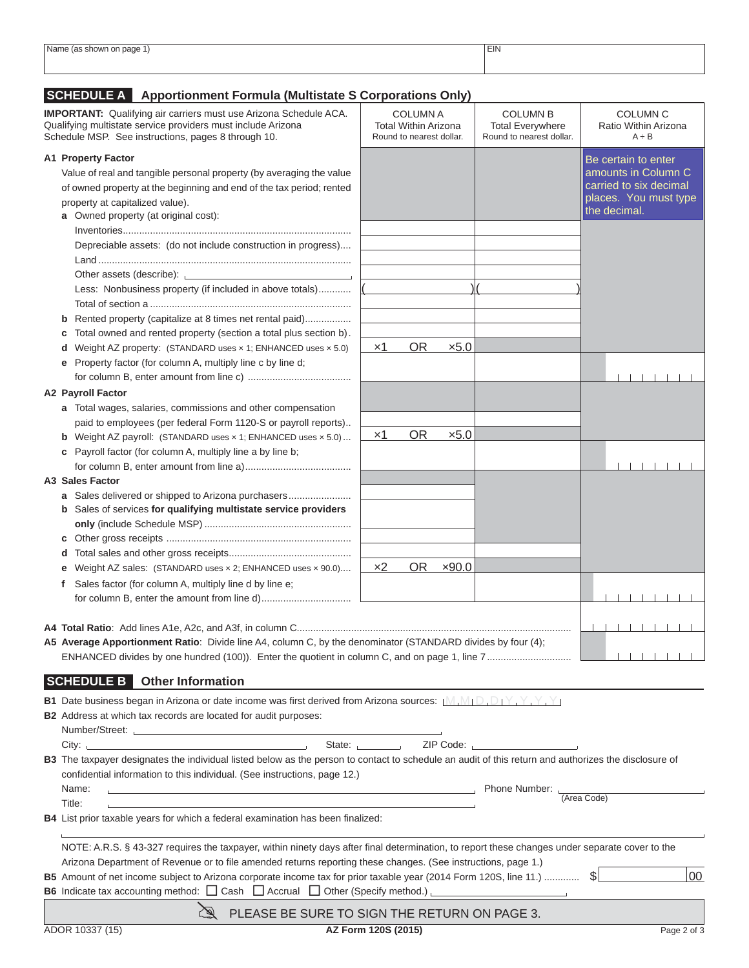| Name<br>page<br>snowr<br>. | <b>EIN</b> |
|----------------------------|------------|
|                            |            |
|                            |            |
|                            |            |
|                            |            |

## **SCHEDULE A Apportionment Formula (Multistate S Corporations Only)**

| <b>IMPORTANT:</b> Qualifying air carriers must use Arizona Schedule ACA.<br>Qualifying multistate service providers must include Arizona<br>Schedule MSP. See instructions, pages 8 through 10.                                   |                                                                                                                                    | <b>COLUMN A</b><br><b>Total Within Arizona</b><br>Round to nearest dollar. |           |               | <b>COLUMN B</b><br><b>Total Everywhere</b><br>Round to nearest dollar. | COLUMN <sub>C</sub><br>Ratio Within Arizona<br>$A \div B$ |
|-----------------------------------------------------------------------------------------------------------------------------------------------------------------------------------------------------------------------------------|------------------------------------------------------------------------------------------------------------------------------------|----------------------------------------------------------------------------|-----------|---------------|------------------------------------------------------------------------|-----------------------------------------------------------|
| <b>A1 Property Factor</b>                                                                                                                                                                                                         |                                                                                                                                    |                                                                            |           |               |                                                                        | Be certain to enter                                       |
|                                                                                                                                                                                                                                   | Value of real and tangible personal property (by averaging the value                                                               |                                                                            |           |               |                                                                        | amounts in Column C                                       |
|                                                                                                                                                                                                                                   | of owned property at the beginning and end of the tax period; rented                                                               |                                                                            |           |               |                                                                        | carried to six decimal                                    |
|                                                                                                                                                                                                                                   | property at capitalized value).                                                                                                    |                                                                            |           |               |                                                                        | places. You must type                                     |
|                                                                                                                                                                                                                                   | a Owned property (at original cost):                                                                                               |                                                                            |           |               |                                                                        | the decimal.                                              |
|                                                                                                                                                                                                                                   |                                                                                                                                    |                                                                            |           |               |                                                                        |                                                           |
|                                                                                                                                                                                                                                   | Depreciable assets: (do not include construction in progress)                                                                      |                                                                            |           |               |                                                                        |                                                           |
|                                                                                                                                                                                                                                   |                                                                                                                                    |                                                                            |           |               |                                                                        |                                                           |
|                                                                                                                                                                                                                                   | Other assets (describe):                                                                                                           |                                                                            |           |               |                                                                        |                                                           |
|                                                                                                                                                                                                                                   | Less: Nonbusiness property (if included in above totals)                                                                           |                                                                            |           |               |                                                                        |                                                           |
|                                                                                                                                                                                                                                   |                                                                                                                                    |                                                                            |           |               |                                                                        |                                                           |
|                                                                                                                                                                                                                                   | Rented property (capitalize at 8 times net rental paid)                                                                            |                                                                            |           |               |                                                                        |                                                           |
|                                                                                                                                                                                                                                   | Total owned and rented property (section a total plus section b).                                                                  |                                                                            |           |               |                                                                        |                                                           |
|                                                                                                                                                                                                                                   | <b>d</b> Weight AZ property: (STANDARD uses $\times$ 1; ENHANCED uses $\times$ 5.0)                                                | $\times$ 1                                                                 | <b>OR</b> | x5.0          |                                                                        |                                                           |
|                                                                                                                                                                                                                                   | e Property factor (for column A, multiply line c by line d;                                                                        |                                                                            |           |               |                                                                        |                                                           |
|                                                                                                                                                                                                                                   |                                                                                                                                    |                                                                            |           |               |                                                                        |                                                           |
|                                                                                                                                                                                                                                   |                                                                                                                                    |                                                                            |           |               |                                                                        |                                                           |
|                                                                                                                                                                                                                                   | <b>A2 Payroll Factor</b>                                                                                                           |                                                                            |           |               |                                                                        |                                                           |
|                                                                                                                                                                                                                                   | a Total wages, salaries, commissions and other compensation                                                                        |                                                                            |           |               |                                                                        |                                                           |
|                                                                                                                                                                                                                                   | paid to employees (per federal Form 1120-S or payroll reports)                                                                     | $\times$ 1                                                                 | <b>OR</b> | $\times 5.0$  |                                                                        |                                                           |
|                                                                                                                                                                                                                                   | <b>b</b> Weight AZ payroll: (STANDARD uses $\times$ 1; ENHANCED uses $\times$ 5.0)                                                 |                                                                            |           |               |                                                                        |                                                           |
|                                                                                                                                                                                                                                   | c Payroll factor (for column A, multiply line a by line b;                                                                         |                                                                            |           |               |                                                                        |                                                           |
|                                                                                                                                                                                                                                   |                                                                                                                                    |                                                                            |           |               |                                                                        |                                                           |
|                                                                                                                                                                                                                                   | A3 Sales Factor                                                                                                                    |                                                                            |           |               |                                                                        |                                                           |
|                                                                                                                                                                                                                                   | a Sales delivered or shipped to Arizona purchasers                                                                                 |                                                                            |           |               |                                                                        |                                                           |
|                                                                                                                                                                                                                                   | b Sales of services for qualifying multistate service providers                                                                    |                                                                            |           |               |                                                                        |                                                           |
|                                                                                                                                                                                                                                   |                                                                                                                                    |                                                                            |           |               |                                                                        |                                                           |
|                                                                                                                                                                                                                                   |                                                                                                                                    |                                                                            |           |               |                                                                        |                                                           |
|                                                                                                                                                                                                                                   |                                                                                                                                    | x2                                                                         | OR        | $\times$ 90.0 |                                                                        |                                                           |
|                                                                                                                                                                                                                                   | e Weight AZ sales: (STANDARD uses x 2; ENHANCED uses x 90.0)                                                                       |                                                                            |           |               |                                                                        |                                                           |
| f                                                                                                                                                                                                                                 | Sales factor (for column A, multiply line d by line e;                                                                             |                                                                            |           |               |                                                                        |                                                           |
|                                                                                                                                                                                                                                   |                                                                                                                                    |                                                                            |           |               |                                                                        |                                                           |
|                                                                                                                                                                                                                                   |                                                                                                                                    |                                                                            |           |               |                                                                        |                                                           |
|                                                                                                                                                                                                                                   | A5 Average Apportionment Ratio: Divide line A4, column C, by the denominator (STANDARD divides by four (4);                        |                                                                            |           |               |                                                                        |                                                           |
|                                                                                                                                                                                                                                   |                                                                                                                                    |                                                                            |           |               |                                                                        |                                                           |
|                                                                                                                                                                                                                                   |                                                                                                                                    |                                                                            |           |               |                                                                        |                                                           |
|                                                                                                                                                                                                                                   | <b>SCHEDULE B</b> Other Information                                                                                                |                                                                            |           |               |                                                                        |                                                           |
|                                                                                                                                                                                                                                   | <b>B1</b> Date business began in Arizona or date income was first derived from Arizona sources: $[M, M] \Box \Box \Box Y, Y, Y, Y$ |                                                                            |           |               |                                                                        |                                                           |
|                                                                                                                                                                                                                                   | <b>B2</b> Address at which tax records are located for audit purposes:                                                             |                                                                            |           |               |                                                                        |                                                           |
|                                                                                                                                                                                                                                   | Number/Street: <u>Number/Street:</u> 2007                                                                                          |                                                                            |           |               |                                                                        |                                                           |
|                                                                                                                                                                                                                                   |                                                                                                                                    |                                                                            |           |               | State: The ZIP Code:                                                   |                                                           |
|                                                                                                                                                                                                                                   |                                                                                                                                    |                                                                            |           |               |                                                                        |                                                           |
| B3 The taxpayer designates the individual listed below as the person to contact to schedule an audit of this return and authorizes the disclosure of<br>confidential information to this individual. (See instructions, page 12.) |                                                                                                                                    |                                                                            |           |               |                                                                        |                                                           |
|                                                                                                                                                                                                                                   | Name:                                                                                                                              |                                                                            |           |               |                                                                        |                                                           |
|                                                                                                                                                                                                                                   | Title:                                                                                                                             |                                                                            |           |               |                                                                        | (Area Code)                                               |
|                                                                                                                                                                                                                                   | <b>B4</b> List prior taxable years for which a federal examination has been finalized:                                             |                                                                            |           |               |                                                                        |                                                           |
|                                                                                                                                                                                                                                   |                                                                                                                                    |                                                                            |           |               |                                                                        |                                                           |
| NOTE: A.R.S. § 43-327 requires the taxpayer, within ninety days after final determination, to report these changes under separate cover to the                                                                                    |                                                                                                                                    |                                                                            |           |               |                                                                        |                                                           |
| Arizona Department of Revenue or to file amended returns reporting these changes. (See instructions, page 1.)                                                                                                                     |                                                                                                                                    |                                                                            |           |               |                                                                        |                                                           |
|                                                                                                                                                                                                                                   | 00<br>B5 Amount of net income subject to Arizona corporate income tax for prior taxable year (2014 Form 120S, line 11.)  \$        |                                                                            |           |               |                                                                        |                                                           |
|                                                                                                                                                                                                                                   | <b>B6</b> Indicate tax accounting method: $\Box$ Cash $\Box$ Accrual $\Box$ Other (Specify method.)                                |                                                                            |           |               |                                                                        |                                                           |
|                                                                                                                                                                                                                                   |                                                                                                                                    |                                                                            |           |               |                                                                        |                                                           |
|                                                                                                                                                                                                                                   | $\mathbb{Z}$<br>PLEASE BE SURE TO SIGN THE RETURN ON PAGE 3.                                                                       |                                                                            |           |               |                                                                        |                                                           |
|                                                                                                                                                                                                                                   | ADOR 10337 (15)                                                                                                                    | AZ Form 120S (2015)                                                        |           |               |                                                                        | Page 2 of 3                                               |